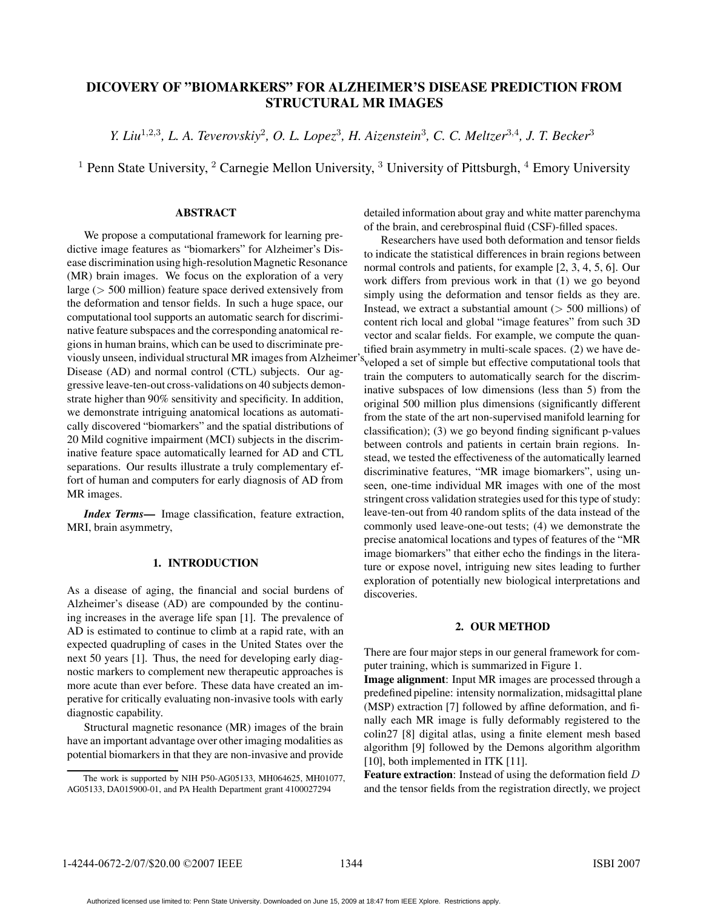# **DICOVERY OF "BIOMARKERS" FOR ALZHEIMER'S DISEASE PREDICTION FROM STRUCTURAL MR IMAGES**

*Y. Liu*<sup>1</sup>,2,<sup>3</sup>*, L. A. Teverovskiy*<sup>2</sup>*, O. L. Lopez*<sup>3</sup>*, H. Aizenstein*<sup>3</sup>*, C. C. Meltzer*<sup>3</sup>,<sup>4</sup>*, J. T. Becker*<sup>3</sup>

<sup>1</sup> Penn State University, <sup>2</sup> Carnegie Mellon University, <sup>3</sup> University of Pittsburgh, <sup>4</sup> Emory University

#### **ABSTRACT**

We propose a computational framework for learning predictive image features as "biomarkers" for Alzheimer's Disease discrimination using high-resolution Magnetic Resonance (MR) brain images. We focus on the exploration of a very large (> 500 million) feature space derived extensively from the deformation and tensor fields. In such a huge space, our computational tool supports an automatic search for discriminative feature subspaces and the corresponding anatomical regions in human brains, which can be used to discriminate previously unseen, individual structural MR images from Alzheimer Disease (AD) and normal control (CTL) subjects. Our aggressive leave-ten-out cross-validations on 40 subjects demonstrate higher than 90% sensitivity and specificity. In addition, we demonstrate intriguing anatomical locations as automatically discovered "biomarkers" and the spatial distributions of 20 Mild cognitive impairment (MCI) subjects in the discriminative feature space automatically learned for AD and CTL separations. Our results illustrate a truly complementary effort of human and computers for early diagnosis of AD from MR images.

*Index Terms*— Image classification, feature extraction, MRI, brain asymmetry,

## **1. INTRODUCTION**

As a disease of aging, the financial and social burdens of Alzheimer's disease (AD) are compounded by the continuing increases in the average life span [1]. The prevalence of AD is estimated to continue to climb at a rapid rate, with an expected quadrupling of cases in the United States over the next 50 years [1]. Thus, the need for developing early diagnostic markers to complement new therapeutic approaches is more acute than ever before. These data have created an imperative for critically evaluating non-invasive tools with early diagnostic capability.

Structural magnetic resonance (MR) images of the brain have an important advantage over other imaging modalities as potential biomarkers in that they are non-invasive and provide detailed information about gray and white matter parenchyma of the brain, and cerebrospinal fluid (CSF)-filled spaces.

Researchers have used both deformation and tensor fields to indicate the statistical differences in brain regions between normal controls and patients, for example [2, 3, 4, 5, 6]. Our work differs from previous work in that (1) we go beyond simply using the deformation and tensor fields as they are. Instead, we extract a substantial amount  $($  > 500 millions) of content rich local and global "image features" from such 3D vector and scalar fields. For example, we compute the quantified brain asymmetry in multi-scale spaces. (2) we have desy veloped a set of simple but effective computational tools that train the computers to automatically search for the discriminative subspaces of low dimensions (less than 5) from the original 500 million plus dimensions (significantly different from the state of the art non-supervised manifold learning for classification); (3) we go beyond finding significant p-values between controls and patients in certain brain regions. Instead, we tested the effectiveness of the automatically learned discriminative features, "MR image biomarkers", using unseen, one-time individual MR images with one of the most stringent cross validation strategies used for this type of study: leave-ten-out from 40 random splits of the data instead of the commonly used leave-one-out tests; (4) we demonstrate the precise anatomical locations and types of features of the "MR image biomarkers" that either echo the findings in the literature or expose novel, intriguing new sites leading to further exploration of potentially new biological interpretations and discoveries.

#### **2. OUR METHOD**

There are four major steps in our general framework for computer training, which is summarized in Figure 1.

**Image alignment**: Input MR images are processed through a predefined pipeline: intensity normalization, midsagittal plane (MSP) extraction [7] followed by affine deformation, and finally each MR image is fully deformably registered to the colin27 [8] digital atlas, using a finite element mesh based algorithm [9] followed by the Demons algorithm algorithm [10], both implemented in ITK [11].

**Feature extraction**: Instead of using the deformation field D and the tensor fields from the registration directly, we project

The work is supported by NIH P50-AG05133, MH064625, MH01077, AG05133, DA015900-01, and PA Health Department grant 4100027294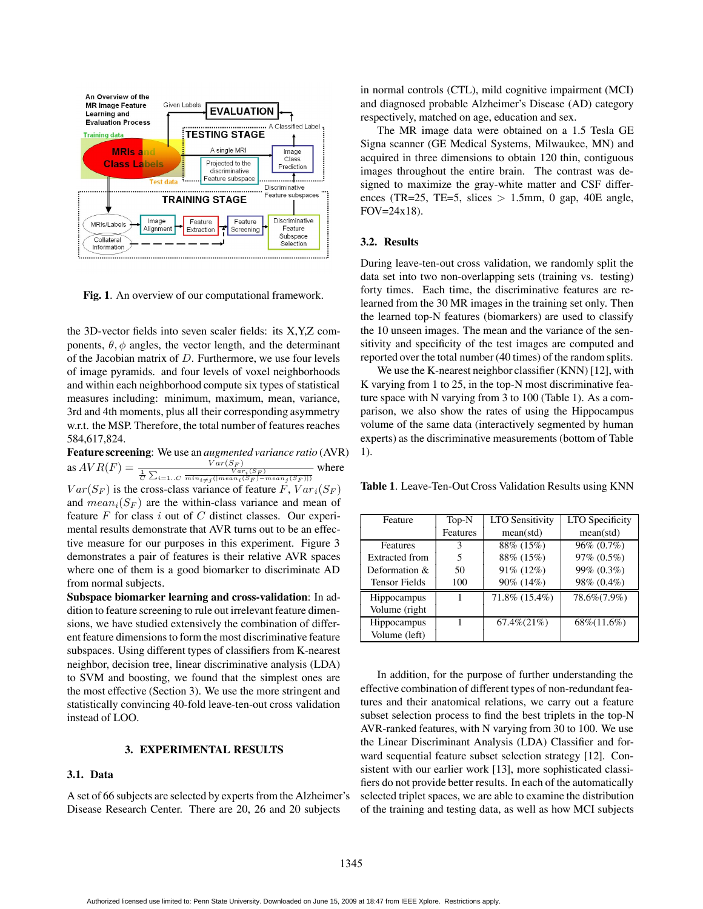

**Fig. 1**. An overview of our computational framework.

the 3D-vector fields into seven scaler fields: its  $X, Y, Z$  components,  $\theta$ ,  $\phi$  angles, the vector length, and the determinant of the Jacobian matrix of  $D$ . Furthermore, we use four levels of image pyramids. and four levels of voxel neighborhoods and within each neighborhood compute six types of statistical measures including: minimum, maximum, mean, variance, 3rd and 4th moments, plus all their corresponding asymmetry w.r.t. the MSP. Therefore, the total number of features reaches 584,617,824.

**Feature screening**: We use an *augmented variance ratio* (AVR) as  $AVR(F) = \frac{Var(S_F)}{\frac{1}{C} \sum_{i=1..C} \frac{Var(S_F)}{min_{i \neq j} (|mean_i(S_F) - mean_j(S_F)|)}}$ where

 $Var(S_F)$  is the cross-class variance of feature F,  $Var_i(S_F)$ and  $mean_i(S_F)$  are the within-class variance and mean of feature  $F$  for class  $i$  out of  $C$  distinct classes. Our experimental results demonstrate that AVR turns out to be an effective measure for our purposes in this experiment. Figure 3 demonstrates a pair of features is their relative AVR spaces where one of them is a good biomarker to discriminate AD from normal subjects.

**Subspace biomarker learning and cross-validation**: In addition to feature screening to rule out irrelevant feature dimensions, we have studied extensively the combination of different feature dimensions to form the most discriminative feature subspaces. Using different types of classifiers from K-nearest neighbor, decision tree, linear discriminative analysis (LDA) to SVM and boosting, we found that the simplest ones are the most effective (Section 3). We use the more stringent and statistically convincing 40-fold leave-ten-out cross validation instead of LOO.

#### **3. EXPERIMENTAL RESULTS**

#### **3.1. Data**

A set of 66 subjects are selected by experts from the Alzheimer's Disease Research Center. There are 20, 26 and 20 subjects

in normal controls (CTL), mild cognitive impairment (MCI) and diagnosed probable Alzheimer's Disease (AD) category respectively, matched on age, education and sex.

The MR image data were obtained on a 1.5 Tesla GE Signa scanner (GE Medical Systems, Milwaukee, MN) and acquired in three dimensions to obtain 120 thin, contiguous images throughout the entire brain. The contrast was designed to maximize the gray-white matter and CSF differences (TR=25, TE=5, slices  $> 1.5$ mm, 0 gap, 40E angle, FOV=24x18).

#### **3.2. Results**

During leave-ten-out cross validation, we randomly split the data set into two non-overlapping sets (training vs. testing) forty times. Each time, the discriminative features are relearned from the 30 MR images in the training set only. Then the learned top-N features (biomarkers) are used to classify the 10 unseen images. The mean and the variance of the sensitivity and specificity of the test images are computed and reported over the total number (40 times) of the random splits.

We use the K-nearest neighbor classifier (KNN) [12], with K varying from 1 to 25, in the top-N most discriminative feature space with N varying from 3 to 100 (Table 1). As a comparison, we also show the rates of using the Hippocampus volume of the same data (interactively segmented by human experts) as the discriminative measurements (bottom of Table 1).

**Table 1**. Leave-Ten-Out Cross Validation Results using KNN

| Feature               | Top-N    | <b>LTO Sensitivity</b> | <b>LTO</b> Specificity |
|-----------------------|----------|------------------------|------------------------|
|                       | Features | mean(std)              | mean(std)              |
| <b>Features</b>       | 3        | 88% (15%)              | 96% (0.7%)             |
| <b>Extracted from</b> | 5        | 88% (15%)              | 97% (0.5%)             |
| Deformation &         | 50       | 91% (12%)              | 99% (0.3%)             |
| <b>Tensor Fields</b>  | 100      | 90% (14%)              | 98% (0.4%)             |
| Hippocampus           |          | 71.8% (15.4%)          | 78.6%(7.9%)            |
| Volume (right         |          |                        |                        |
| Hippocampus           |          | $67.4\% (21\%)$        | $68\%(11.6\%)$         |
| Volume (left)         |          |                        |                        |

In addition, for the purpose of further understanding the effective combination of different types of non-redundant features and their anatomical relations, we carry out a feature subset selection process to find the best triplets in the top-N AVR-ranked features, with N varying from 30 to 100. We use the Linear Discriminant Analysis (LDA) Classifier and forward sequential feature subset selection strategy [12]. Consistent with our earlier work [13], more sophisticated classifiers do not provide better results. In each of the automatically selected triplet spaces, we are able to examine the distribution of the training and testing data, as well as how MCI subjects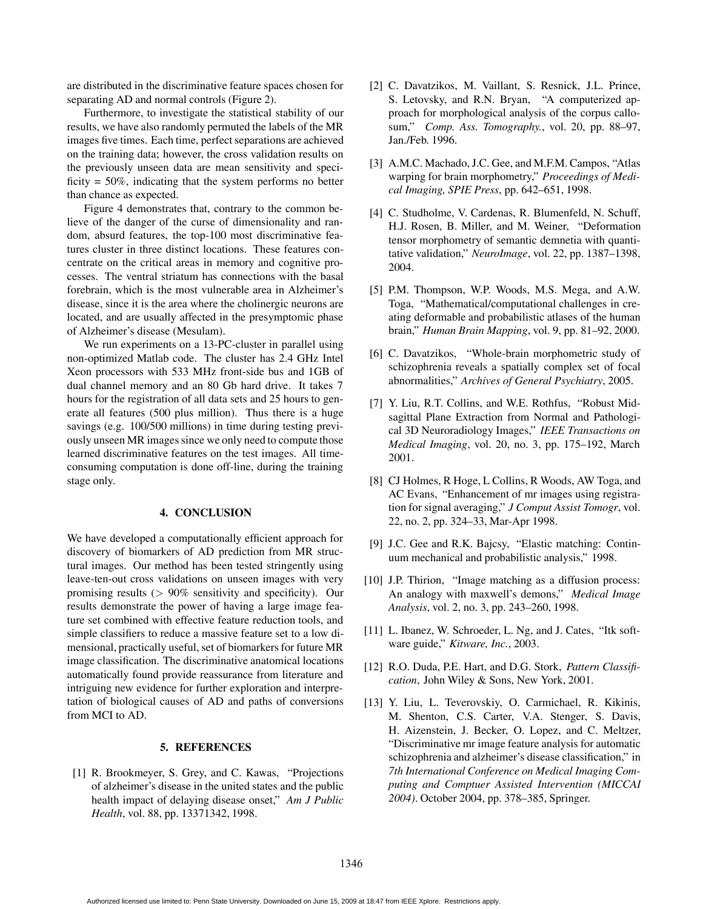are distributed in the discriminative feature spaces chosen for separating AD and normal controls (Figure 2).

Furthermore, to investigate the statistical stability of our results, we have also randomly permuted the labels of the MR images five times. Each time, perfect separations are achieved on the training data; however, the cross validation results on the previously unseen data are mean sensitivity and specificity  $= 50\%$ , indicating that the system performs no better than chance as expected.

Figure 4 demonstrates that, contrary to the common believe of the danger of the curse of dimensionality and random, absurd features, the top-100 most discriminative features cluster in three distinct locations. These features concentrate on the critical areas in memory and cognitive processes. The ventral striatum has connections with the basal forebrain, which is the most vulnerable area in Alzheimer's disease, since it is the area where the cholinergic neurons are located, and are usually affected in the presymptomic phase of Alzheimer's disease (Mesulam).

We run experiments on a 13-PC-cluster in parallel using non-optimized Matlab code. The cluster has 2.4 GHz Intel Xeon processors with 533 MHz front-side bus and 1GB of dual channel memory and an 80 Gb hard drive. It takes 7 hours for the registration of all data sets and 25 hours to generate all features (500 plus million). Thus there is a huge savings (e.g. 100/500 millions) in time during testing previously unseen MR images since we only need to compute those learned discriminative features on the test images. All timeconsuming computation is done off-line, during the training stage only.

### **4. CONCLUSION**

We have developed a computationally efficient approach for discovery of biomarkers of AD prediction from MR structural images. Our method has been tested stringently using leave-ten-out cross validations on unseen images with very promising results  $(> 90\%$  sensitivity and specificity). Our results demonstrate the power of having a large image feature set combined with effective feature reduction tools, and simple classifiers to reduce a massive feature set to a low dimensional, practically useful, set of biomarkers for future MR image classification. The discriminative anatomical locations automatically found provide reassurance from literature and intriguing new evidence for further exploration and interpretation of biological causes of AD and paths of conversions from MCI to AD.

#### **5. REFERENCES**

[1] R. Brookmeyer, S. Grey, and C. Kawas, "Projections" of alzheimer's disease in the united states and the public health impact of delaying disease onset," *Am J Public Health*, vol. 88, pp. 13371342, 1998.

- [2] C. Davatzikos, M. Vaillant, S. Resnick, J.L. Prince, S. Letovsky, and R.N. Bryan, "A computerized approach for morphological analysis of the corpus callosum," *Comp. Ass. Tomography.*, vol. 20, pp. 88–97, Jan./Feb. 1996.
- [3] A.M.C. Machado, J.C. Gee, and M.F.M. Campos, "Atlas warping for brain morphometry," *Proceedings of Medical Imaging, SPIE Press*, pp. 642–651, 1998.
- [4] C. Studholme, V. Cardenas, R. Blumenfeld, N. Schuff, H.J. Rosen, B. Miller, and M. Weiner, "Deformation tensor morphometry of semantic demnetia with quantitative validation," *NeuroImage*, vol. 22, pp. 1387–1398, 2004.
- [5] P.M. Thompson, W.P. Woods, M.S. Mega, and A.W. Toga, "Mathematical/computational challenges in creating deformable and probabilistic atlases of the human brain," *Human Brain Mapping*, vol. 9, pp. 81–92, 2000.
- [6] C. Davatzikos, "Whole-brain morphometric study of schizophrenia reveals a spatially complex set of focal abnormalities," *Archives of General Psychiatry*, 2005.
- [7] Y. Liu, R.T. Collins, and W.E. Rothfus, "Robust Midsagittal Plane Extraction from Normal and Pathological 3D Neuroradiology Images," *IEEE Transactions on Medical Imaging*, vol. 20, no. 3, pp. 175–192, March 2001.
- [8] CJ Holmes, R Hoge, L Collins, R Woods, AW Toga, and AC Evans, "Enhancement of mr images using registration for signal averaging," *J Comput Assist Tomogr*, vol. 22, no. 2, pp. 324–33, Mar-Apr 1998.
- [9] J.C. Gee and R.K. Bajcsy, "Elastic matching: Continuum mechanical and probabilistic analysis," 1998.
- [10] J.P. Thirion, "Image matching as a diffusion process: An analogy with maxwell's demons," *Medical Image Analysis*, vol. 2, no. 3, pp. 243–260, 1998.
- [11] L. Ibanez, W. Schroeder, L. Ng, and J. Cates, "Itk software guide," *Kitware, Inc.*, 2003.
- [12] R.O. Duda, P.E. Hart, and D.G. Stork, *Pattern Classiſcation*, John Wiley & Sons, New York, 2001.
- [13] Y. Liu, L. Teverovskiy, O. Carmichael, R. Kikinis, M. Shenton, C.S. Carter, V.A. Stenger, S. Davis, H. Aizenstein, J. Becker, O. Lopez, and C. Meltzer, "Discriminative mr image feature analysis for automatic schizophrenia and alzheimer's disease classification," in *7th International Conference on Medical Imaging Computing and Comptuer Assisted Intervention (MICCAI 2004)*. October 2004, pp. 378–385, Springer.

Authorized licensed use limited to: Penn State University. Downloaded on June 15, 2009 at 18:47 from IEEE Xplore. Restrictions apply.